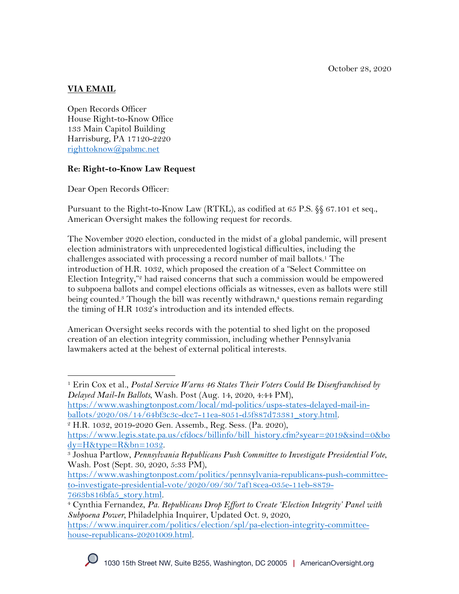October 28, 2020

# **VIA EMAIL**

Open Records Officer House Right-to-Know Office 133 Main Capitol Building Harrisburg, PA 17120-2220 righttoknow@pabmc.net

## **Re: Right-to-Know Law Request**

Dear Open Records Officer:

Pursuant to the Right-to-Know Law (RTKL), as codified at 65 P.S. §§ 67.101 et seq., American Oversight makes the following request for records.

The November 2020 election, conducted in the midst of a global pandemic, will present election administrators with unprecedented logistical difficulties, including the challenges associated with processing a record number of mail ballots.<sup>1</sup> The introduction of H.R. 1032, which proposed the creation of a "Select Committee on Election Integrity,"2 had raised concerns that such a commission would be empowered to subpoena ballots and compel elections officials as witnesses, even as ballots were still being counted.<sup>3</sup> Though the bill was recently withdrawn,<sup>4</sup> questions remain regarding the timing of H.R 1032's introduction and its intended effects.

American Oversight seeks records with the potential to shed light on the proposed creation of an election integrity commission, including whether Pennsylvania lawmakers acted at the behest of external political interests.

<sup>1</sup> Erin Cox et al., *Postal Service Warns 46 States Their Voters Could Be Disenfranchised by Delayed Mail-In Ballots*, Wash. Post (Aug. 14, 2020, 4:44 PM),

https://www.washingtonpost.com/local/md-politics/usps-states-delayed-mail-inballots/2020/08/14/64bf3c3c-dcc7-11ea-8051-d5f887d73381\_story.html. 2 H.R. 1032, 2019-2020 Gen. Assemb., Reg. Sess. (Pa. 2020),

https://www.legis.state.pa.us/cfdocs/billinfo/bill\_history.cfm?syear=2019&sind=0&bo dy=H&type=R&bn=1032. 3 Joshua Partlow, *Pennsylvania Republicans Push Committee to Investigate Presidential Vote*,

Wash. Post (Sept. 30, 2020, 5:33 PM),

https://www.washingtonpost.com/politics/pennsylvania-republicans-push-committeeto-investigate-presidential-vote/2020/09/30/7af18cea-035e-11eb-8879-

<sup>7663</sup>b816bfa5\_story.html. 4 Cynthia Fernandez, *Pa. Republicans Drop Effort to Create 'Election Integrity' Panel with Subpoena Power,* Philadelphia Inquirer, Updated Oct. 9, 2020,

https://www.inquirer.com/politics/election/spl/pa-election-integrity-committeehouse-republicans-20201009.html.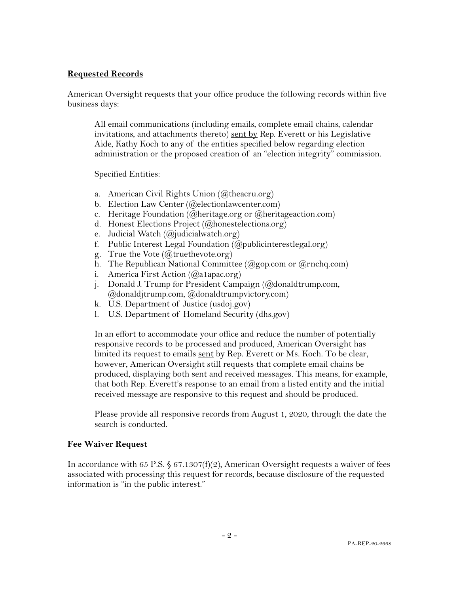### **Requested Records**

American Oversight requests that your office produce the following records within five business days:

All email communications (including emails, complete email chains, calendar invitations, and attachments thereto) sent by Rep. Everett or his Legislative Aide, Kathy Koch to any of the entities specified below regarding election administration or the proposed creation of an "election integrity" commission.

#### Specified Entities:

- a. American Civil Rights Union (@theacru.org)
- b. Election Law Center (@electionlawcenter.com)
- c. Heritage Foundation (@heritage.org or @heritageaction.com)
- d. Honest Elections Project (@honestelections.org)
- e. Judicial Watch (@judicialwatch.org)
- f. Public Interest Legal Foundation  $(Q_{\text{public}interestlegal.org)$
- g. True the Vote  $(Q)$ truethevote.org)
- h. The Republican National Committee ( $(\partial_{\alpha}g_{\alpha})$  com or  $(\partial_{\alpha}g_{\alpha})$
- i. America First Action (@a1apac.org)
- j. Donald J. Trump for President Campaign (@donaldtrump.com, @donaldjtrump.com, @donaldtrumpvictory.com)
- k. U.S. Department of Justice (usdoj.gov)
- l. U.S. Department of Homeland Security (dhs.gov)

In an effort to accommodate your office and reduce the number of potentially responsive records to be processed and produced, American Oversight has limited its request to emails sent by Rep. Everett or Ms. Koch. To be clear, however, American Oversight still requests that complete email chains be produced, displaying both sent and received messages. This means, for example, that both Rep. Everett's response to an email from a listed entity and the initial received message are responsive to this request and should be produced.

Please provide all responsive records from August 1, 2020, through the date the search is conducted.

### **Fee Waiver Request**

In accordance with 65 P.S.  $\S 67.1307(f)(2)$ , American Oversight requests a waiver of fees associated with processing this request for records, because disclosure of the requested information is "in the public interest."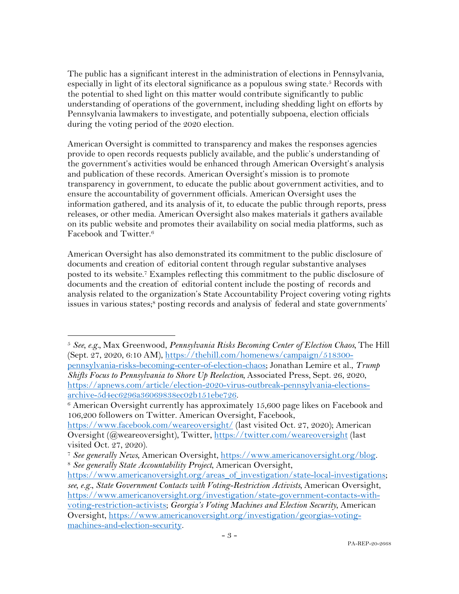The public has a significant interest in the administration of elections in Pennsylvania, especially in light of its electoral significance as a populous swing state. <sup>5</sup> Records with the potential to shed light on this matter would contribute significantly to public understanding of operations of the government, including shedding light on efforts by Pennsylvania lawmakers to investigate, and potentially subpoena, election officials during the voting period of the 2020 election.

American Oversight is committed to transparency and makes the responses agencies provide to open records requests publicly available, and the public's understanding of the government's activities would be enhanced through American Oversight's analysis and publication of these records. American Oversight's mission is to promote transparency in government, to educate the public about government activities, and to ensure the accountability of government officials. American Oversight uses the information gathered, and its analysis of it, to educate the public through reports, press releases, or other media. American Oversight also makes materials it gathers available on its public website and promotes their availability on social media platforms, such as Facebook and Twitter.6

American Oversight has also demonstrated its commitment to the public disclosure of documents and creation of editorial content through regular substantive analyses posted to its website.7 Examples reflecting this commitment to the public disclosure of documents and the creation of editorial content include the posting of records and analysis related to the organization's State Accountability Project covering voting rights issues in various states;<sup>8</sup> posting records and analysis of federal and state governments'

<sup>5</sup> *See, e.g.,* Max Greenwood, *Pennsylvania Risks Becoming Center of Election Chaos,* The Hill (Sept. 27, 2020, 6:10 AM), https://thehill.com/homenews/campaign/518300pennsylvania-risks-becoming-center-of-election-chaos; Jonathan Lemire et al., *Trump Shifts Focus to Pennsylvania to Shore Up Reelection,* Associated Press, Sept. 26, 2020, https://apnews.com/article/election-2020-virus-outbreak-pennsylvania-electionsarchive-5d4ec6296a36069838ec02b151ebe726.<br><sup>6</sup> American Oversight currently has approximately 15,600 page likes on Facebook and

<sup>106,200</sup> followers on Twitter. American Oversight, Facebook,

https://www.facebook.com/weareoversight/ (last visited Oct. 27, 2020); American Oversight (@weareoversight), Twitter, https://twitter.com/weareoversight (last visited Oct. 27, 2020).

<sup>7</sup> *See generally News*, American Oversight, https://www.americanoversight.org/blog. 8 *See generally State Accountability Project*, American Oversight,

https://www.americanoversight.org/areas\_of\_investigation/state-local-investigations; *see, e.g.*, *State Government Contacts with Voting-Restriction Activists,* American Oversight, https://www.americanoversight.org/investigation/state-government-contacts-withvoting-restriction-activists; *Georgia's Voting Machines and Election Security*, American Oversight, https://www.americanoversight.org/investigation/georgias-votingmachines-and-election-security.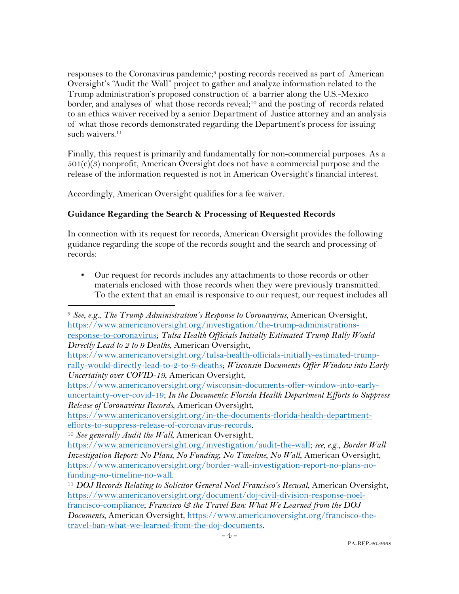responses to the Coronavirus pandemic; <sup>9</sup> posting records received as part of American Oversight's "Audit the Wall" project to gather and analyze information related to the Trump administration's proposed construction of a barrier along the U.S.-Mexico border, and analyses of what those records reveal;<sup>10</sup> and the posting of records related to an ethics waiver received by a senior Department of Justice attorney and an analysis of what those records demonstrated regarding the Department's process for issuing such waivers.<sup>11</sup>

Finally, this request is primarily and fundamentally for non-commercial purposes. As a  $501(c)(3)$  nonprofit, American Oversight does not have a commercial purpose and the release of the information requested is not in American Oversight's financial interest.

Accordingly, American Oversight qualifies for a fee waiver.

## **Guidance Regarding the Search & Processing of Requested Records**

In connection with its request for records, American Oversight provides the following guidance regarding the scope of the records sought and the search and processing of records:

▪ Our request for records includes any attachments to those records or other materials enclosed with those records when they were previously transmitted. To the extent that an email is responsive to our request, our request includes all

https://www.americanoversight.org/wisconsin-documents-offer-window-into-earlyuncertainty-over-covid-19; *In the Documents: Florida Health Department Efforts to Suppress Release of Coronavirus Records*, American Oversight,

https://www.americanoversight.org/in-the-documents-florida-health-departmentefforts-to-suppress-release-of-coronavirus-records. 10 *See generally Audit the Wall*, American Oversight,

<sup>9</sup> *See, e.g.*, *The Trump Administration's Response to Coronavirus*, American Oversight, https://www.americanoversight.org/investigation/the-trump-administrationsresponse-to-coronavirus; *Tulsa Health Officials Initially Estimated Trump Rally Would Directly Lead to 2 to 9 Deaths*, American Oversight,

https://www.americanoversight.org/tulsa-health-officials-initially-estimated-trumprally-would-directly-lead-to-2-to-9-deaths; *Wisconsin Documents Offer Window into Early Uncertainty over COVID-19*, American Oversight,

https://www.americanoversight.org/investigation/audit-the-wall; *see, e.g.*, *Border Wall Investigation Report: No Plans, No Funding, No Timeline, No Wall*, American Oversight, https://www.americanoversight.org/border-wall-investigation-report-no-plans-no-

funding-no-timeline-no-wall. 11 *DOJ Records Relating to Solicitor General Noel Francisco's Recusal*, American Oversight, https://www.americanoversight.org/document/doj-civil-division-response-noel-

francisco-compliance; *Francisco & the Travel Ban: What We Learned from the DOJ Documents*, American Oversight, https://www.americanoversight.org/francisco-thetravel-ban-what-we-learned-from-the-doj-documents.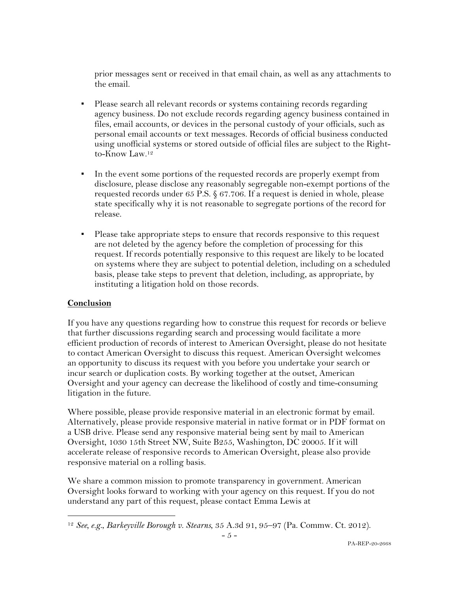prior messages sent or received in that email chain, as well as any attachments to the email.

- Please search all relevant records or systems containing records regarding agency business. Do not exclude records regarding agency business contained in files, email accounts, or devices in the personal custody of your officials, such as personal email accounts or text messages. Records of official business conducted using unofficial systems or stored outside of official files are subject to the Rightto-Know Law.12
- In the event some portions of the requested records are properly exempt from disclosure, please disclose any reasonably segregable non-exempt portions of the requested records under 65 P.S. § 67.706. If a request is denied in whole, please state specifically why it is not reasonable to segregate portions of the record for release.
- Please take appropriate steps to ensure that records responsive to this request are not deleted by the agency before the completion of processing for this request. If records potentially responsive to this request are likely to be located on systems where they are subject to potential deletion, including on a scheduled basis, please take steps to prevent that deletion, including, as appropriate, by instituting a litigation hold on those records.

### **Conclusion**

If you have any questions regarding how to construe this request for records or believe that further discussions regarding search and processing would facilitate a more efficient production of records of interest to American Oversight, please do not hesitate to contact American Oversight to discuss this request. American Oversight welcomes an opportunity to discuss its request with you before you undertake your search or incur search or duplication costs. By working together at the outset, American Oversight and your agency can decrease the likelihood of costly and time-consuming litigation in the future.

Where possible, please provide responsive material in an electronic format by email. Alternatively, please provide responsive material in native format or in PDF format on a USB drive. Please send any responsive material being sent by mail to American Oversight, 1030 15th Street NW, Suite B255, Washington, DC 20005. If it will accelerate release of responsive records to American Oversight, please also provide responsive material on a rolling basis.

We share a common mission to promote transparency in government. American Oversight looks forward to working with your agency on this request. If you do not understand any part of this request, please contact Emma Lewis at

<sup>12</sup> *See, e.g.*, *Barkeyville Borough v. Stearns*, 35 A.3d 91, 95–97 (Pa. Commw. Ct. 2012).